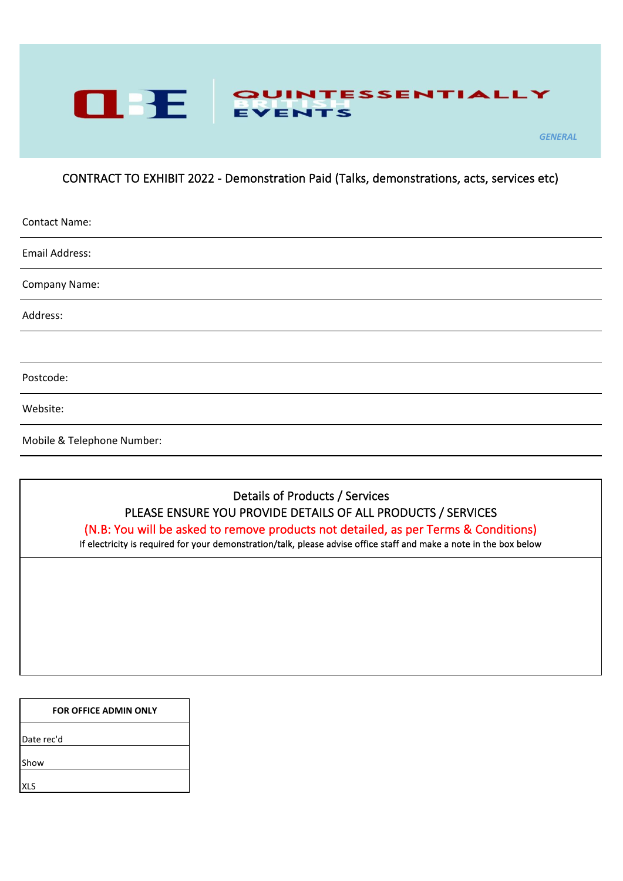

*GENERAL*

## CONTRACT TO EXHIBIT 2022 - Demonstration Paid (Talks, demonstrations, acts, services etc)

| <b>Contact Name:</b>       |
|----------------------------|
| <b>Email Address:</b>      |
| Company Name:              |
| Address:                   |
|                            |
| Postcode:                  |
| Website:                   |
| Mobile & Telephone Number: |

# Details of Products / Services PLEASE ENSURE YOU PROVIDE DETAILS OF ALL PRODUCTS / SERVICES (N.B: You will be asked to remove products not detailed, as per Terms & Conditions)

If electricity is required for your demonstration/talk, please advise office staff and make a note in the box below

| <b>FOR OFFICE ADMIN ONLY</b> |  |  |
|------------------------------|--|--|
|                              |  |  |
| Date rec'd                   |  |  |
| Show                         |  |  |
| (I S                         |  |  |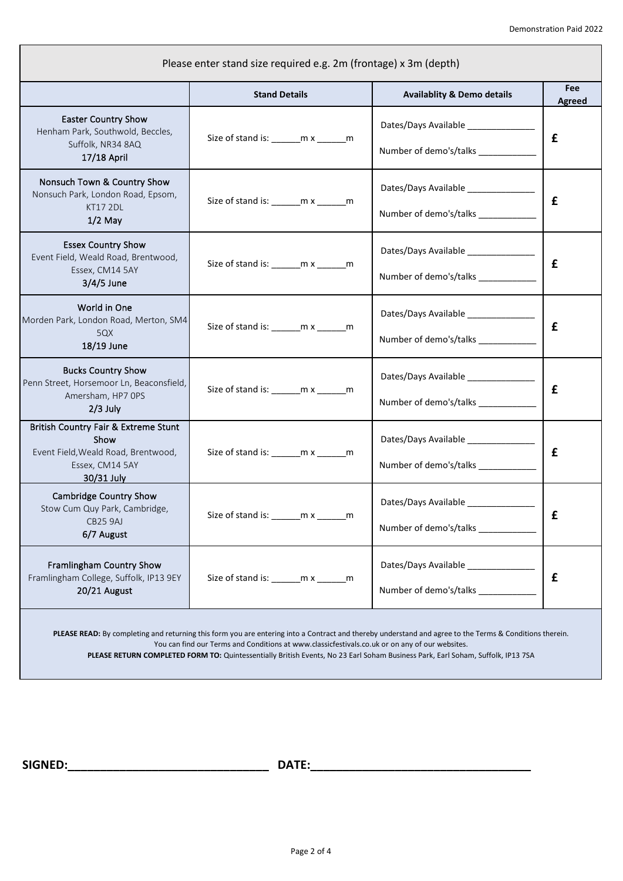|                                                                                                                                 | <b>Stand Details</b>                     | <b>Availablity &amp; Demo details</b>                                        | <b>Fee</b>         |
|---------------------------------------------------------------------------------------------------------------------------------|------------------------------------------|------------------------------------------------------------------------------|--------------------|
| <b>Easter Country Show</b><br>Henham Park, Southwold, Beccles,<br>Suffolk, NR34 8AQ<br>17/18 April                              | Size of stand is: ________ m x _______ m |                                                                              | <b>Agreed</b><br>£ |
| Nonsuch Town & Country Show<br>Nonsuch Park, London Road, Epsom,<br><b>KT17 2DL</b><br>$1/2$ May                                | Size of stand is: ________ m x _______ m | Dates/Days Available ______________<br>Number of demo's/talks _____________  | £                  |
| <b>Essex Country Show</b><br>Event Field, Weald Road, Brentwood,<br>Essex, CM14 5AY<br>3/4/5 June                               | Size of stand is: ________ m x _______ m | Dates/Days Available _______________<br>Number of demo's/talks _____________ | £                  |
| World in One<br>Morden Park, London Road, Merton, SM4<br>5QX<br>18/19 June                                                      | Size of stand is: ________ m x _______ m | Dates/Days Available _______________<br>Number of demo's/talks _____________ | £                  |
| <b>Bucks Country Show</b><br>Penn Street, Horsemoor Ln, Beaconsfield,<br>Amersham, HP7 OPS<br>$2/3$ July                        | Size of stand is: ________ m x _______ m | Dates/Days Available ______________<br>Number of demo's/talks _____________  | £                  |
| <b>British Country Fair &amp; Extreme Stunt</b><br>Show<br>Event Field, Weald Road, Brentwood,<br>Essex, CM14 5AY<br>30/31 July | Size of stand is: ________ m x _______ m | Dates/Days Available ______________<br>Number of demo's/talks ____________   | £                  |
| <b>Cambridge Country Show</b><br>Stow Cum Quy Park, Cambridge,<br>CB25 9AJ<br>6/7 August                                        | Size of stand is:<br>m x<br>m            | Number of demo's/talks                                                       | £                  |
| Framlingham Country Show<br>Framlingham College, Suffolk, IP13 9EY<br>20/21 August                                              | Size of stand is: ________ m x _______ m | Dates/Days Available _____________<br>Number of demo's/talks ____________    | £                  |

You can find our Terms and Conditions at www.classicfestivals.co.uk or on any of our websites.

**PLEASE RETURN COMPLETED FORM TO:** Quintessentially British Events, No 23 Earl Soham Business Park, Earl Soham, Suffolk, IP13 7SA

**SIGNED:\_\_\_\_\_\_\_\_\_\_\_\_\_\_\_\_\_\_\_\_\_\_\_\_\_\_\_\_\_\_\_ DATE:\_\_\_\_\_\_\_\_\_\_\_\_\_\_\_\_\_\_\_\_\_\_\_\_\_\_\_\_\_\_\_\_\_\_**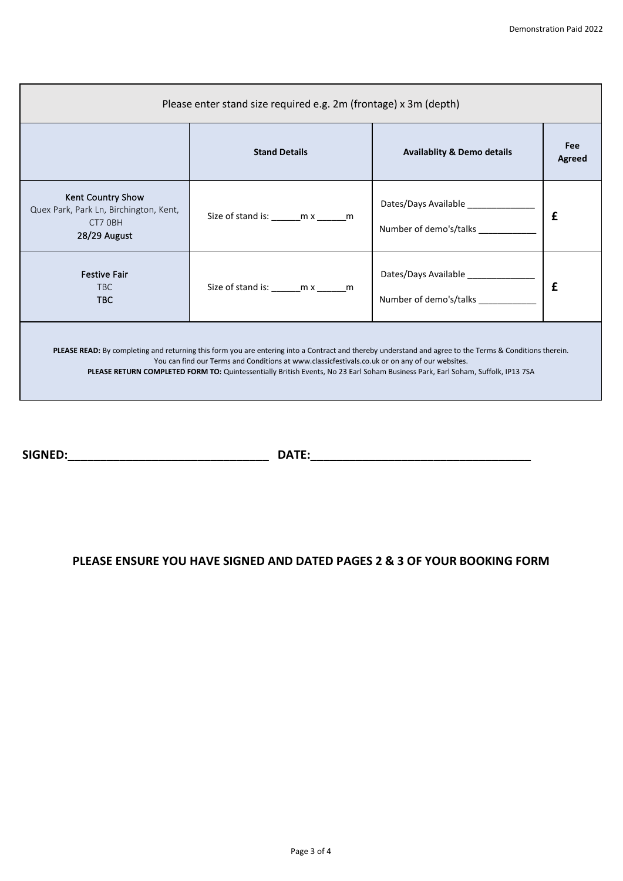| Please enter stand size required e.g. 2m (frontage) x 3m (depth)                                                                                                                                                                                                                                                                                                                             |                                           |                                                                        |               |  |  |
|----------------------------------------------------------------------------------------------------------------------------------------------------------------------------------------------------------------------------------------------------------------------------------------------------------------------------------------------------------------------------------------------|-------------------------------------------|------------------------------------------------------------------------|---------------|--|--|
|                                                                                                                                                                                                                                                                                                                                                                                              | <b>Stand Details</b>                      | <b>Availablity &amp; Demo details</b>                                  | Fee<br>Agreed |  |  |
| Kent Country Show<br>Quex Park, Park Ln, Birchington, Kent,<br>CT7 OBH<br>28/29 August                                                                                                                                                                                                                                                                                                       | Size of stand is: ________ m x _______ m  | Dates/Days Available _______________<br>Number of demo's/talks _______ | $\mathbf f$   |  |  |
| <b>Festive Fair</b><br>TBC<br><b>TBC</b>                                                                                                                                                                                                                                                                                                                                                     | Size of stand is: ________ m x ________ m | Dates/Days Available _______________<br>Number of demo's/talks _______ | £             |  |  |
| PLEASE READ: By completing and returning this form you are entering into a Contract and thereby understand and agree to the Terms & Conditions therein.<br>You can find our Terms and Conditions at www.classicfestivals.co.uk or on any of our websites.<br>PLEASE RETURN COMPLETED FORM TO: Quintessentially British Events, No 23 Earl Soham Business Park, Earl Soham, Suffolk, IP13 7SA |                                           |                                                                        |               |  |  |

**SIGNED:\_\_\_\_\_\_\_\_\_\_\_\_\_\_\_\_\_\_\_\_\_\_\_\_\_\_\_\_\_\_\_ DATE:\_\_\_\_\_\_\_\_\_\_\_\_\_\_\_\_\_\_\_\_\_\_\_\_\_\_\_\_\_\_\_\_\_\_**

#### **PLEASE ENSURE YOU HAVE SIGNED AND DATED PAGES 2 & 3 OF YOUR BOOKING FORM**